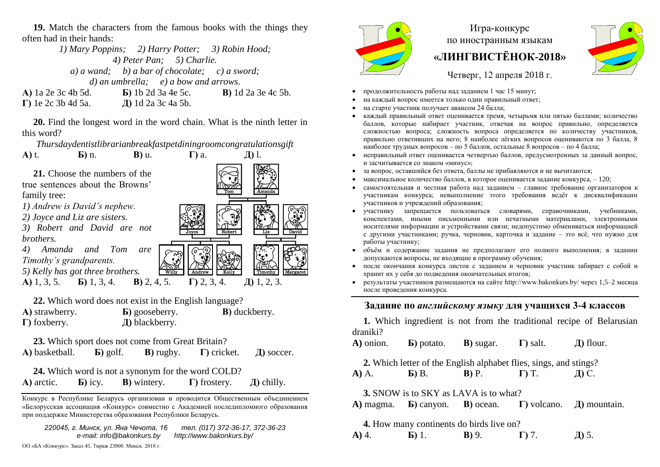**19.** Match the characters from the famous books with the things they often had in their hands:

*1) Mary Poppins; 2) Harry Potter; 3) Robin Hood; 4) Peter Pan; 5) Charlie. a) a wand; b) a bar of chocolate; c) a sword; d) an umbrella; e) a bow and arrows.* **А)** 1a 2e 3c 4b 5d. **Б)** 1b 2d 3a 4e 5c. **В)** 1d 2a 3e 4c 5b. **Г)** 1e 2c 3b 4d 5a. **Д)** 1d 2a 3c 4a 5b.

**20.** Find the longest word in the word chain. What is the ninth letter in this word?

*Thursdaydentistlibrarianbreakfastpetdiningroomcongratulationsgift*

**А)** t. **Б)** n. **В)** u. **Г)** a. **Д)** l. **21.** Choose the numbers of the true sentences about the Browns' family tree:

*1) Andrew is David's nephew. 2) Joyce and Liz are sisters.* 

*3) Robert and David are not brothers.*

*4) Amanda and Tom are Timothy's grandparents.* 

*5) Kelly has got three brothers.* **А)** 1, 3, 5. **Б)** 1, 3, 4. **В)** 2, 4, 5. **Г)** 2, 3, 4. **Д)** 1, 2, 3.

**22.** Which word does not exist in the English language?

**А)** strawberry. **Б)** gooseberry. **В)** duckberry. **Г)** foxberry. **Д)** blackberry.

 $\frac{1}{\text{Wilw}}$ 

 $M \sim 1$ 

**23.** Which sport does not come from Great Britain? **А)** basketball. **Б)** golf. **В)** rugby. **Г)** cricket. **Д)** soccer.

**24.** Which word is not a synonym for the word COLD?

**А)** arctic. **Б)** icy. **В)** wintery. **Г)** frostery. **Д)** chilly.

Конкурс в Республике Беларусь организован и проводится Общественным объединением «Белорусская ассоциация «Конкурс» совместно с Академией последипломного образования при поддержке Министерства образования Республики Беларусь.

*220045, г. Минск, ул. Яна Чечота, 16 тел. (017) 372-36-17, 372-36-23 e-mail: info@bakonkurs.by http://www.bakonkurs.by/*

ОО «БА «Конкурс». Заказ 45. Тираж 23900. Минск. 2018 г.



Игра-конкурс по иностранным языкам **«ЛИНГВИСТЁНОК-2018»**



Четверг, 12 апреля 2018 г.

- продолжительность работы над заданием 1 час 15 минут;
- на каждый вопрос имеется только один правильный ответ;
- на старте участник получает авансом 24 балла;
- каждый правильный ответ оценивается тремя, четырьмя или пятью баллами; количество баллов, которые набирает участник, отвечая на вопрос правильно, определяется сложностью вопроса; сложность вопроса определяется по количеству участников, правильно ответивших на него; 8 наиболее лёгких вопросов оцениваются по 3 балла, 8 наиболее трудных вопросов – по 5 баллов, остальные 8 вопросов – по 4 балла;
- неправильный ответ оценивается четвертью баллов, предусмотренных за данный вопрос, и засчитывается со знаком «минус»;
- за вопрос, оставшийся без ответа, баллы не прибавляются и не вычитаются;
- максимальное количество баллов, в которое оценивается задание конкурса, 120;
- самостоятельная и честная работа над заданием главное требование организаторов к участникам конкурса; невыполнение этого требования ведёт к дисквалификации участников и учреждений образования;
- участнику запрещается пользоваться словарями, справочниками, учебниками, конспектами, иными письменными или печатными материалами, электронными носителями информации и устройствами связи; недопустимо обмениваться информацией с другими участниками; ручка, черновик, карточка и задание – это всё, что нужно для работы участнику;
- объём и содержание задания не предполагают его полного выполнения; в задании допускаются вопросы, не входящие в программу обучения;
- после окончания конкурса листок с заданием и черновик участник забирает с собой и хранит их у себя до подведения окончательных итогов;
- результаты участников размещаются на сайте http://www.bakonkurs.by/ через  $1,5-2$  месяца после проведения конкурса.

## **Задание по** *английскому языку* **для учащихся 3-4 классов**

**1.** Which ingredient is not from the traditional recipe of Belarusian draniki?

**A)** onion. **Б)** potato. **В)** sugar. **Г)** salt. **Д)** flour.

**2.** Which letter of the English alphabet flies, sings, and stings?

**A)** А. **Б)** B. **В)** P. **Г)** T. **Д)** С.

**3.** SNOW is to SKY as LAVA is to what?

**A)** magma. **Б)** canyon. **В)** ocean. **Г)** volcano. **Д)** mountain.

**4.** How many continents do birds live on?

**A)** 4. **Б)** 1. **В)** 9. **Г)** 7. **Д)** 5.